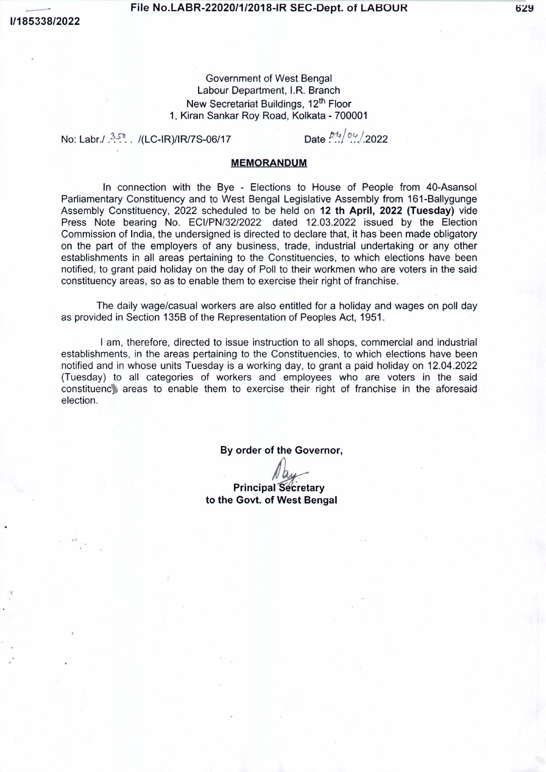......

## File No.LABR-22020/1/2018-IR SEC-Dept. of LABOUR

Government of West Bengal Labour Department, I.R. Branch New Secretariat Buildings, 12<sup>th</sup> Floor 1, Kiran Sankar Roy Road, Kolkata - 700001

No: Labr./ <sup>3,5</sup> ... /(LC-IR)/IR/7S-06/17 Date  $\frac{p_4}{q_1}$  Date  $\frac{p_4}{q_2}$ .

## MEMORANDUM

In connection with the Bye - Elections to House of People from 40-Asansol Parliamentary Constituency and to West Bengal Legislative Assembly from 161-Ballygunge Assembly Constituency, 2022 scheduled to be held on 12 th April, 2022 (Tuesday) vide Press Note bearing No. ECI/PN/32/2022 dated 12.03.2022 issued by the Election Commission of India, the undersigned is directed to declare that, it has been made obligatory on the part of the employers of any business, trade, industrial undertaking or any other establishments in all areas pertaining to the Constituencies, to which elections have been notified, to grant paid holiday on the day of Poll to their workmen who are voters in the said constituency areas, so as to enable them to exercise their right of franchise.

The daily wage/casual workers are also entitled for a holiday and wages on poll day as provided in Section 135B of the Representation of Peoples Act, 1951.

I am, therefore, directed to issue instruction to all shops, commercial and industrial establishments, in the areas pertaining to the Constituencies, to which elections have been notified and in whose units Tuesday is a working day, to grant a paid holiday on 12.04.2022 (Tuesday) to all categories of workers and employees who are voters in the said constituenc\ areas to enable them to exercise their right of franchise in the aforesaid election.

By order of the Governor,

**Principal Secretary** to the Govt. of West Bengal